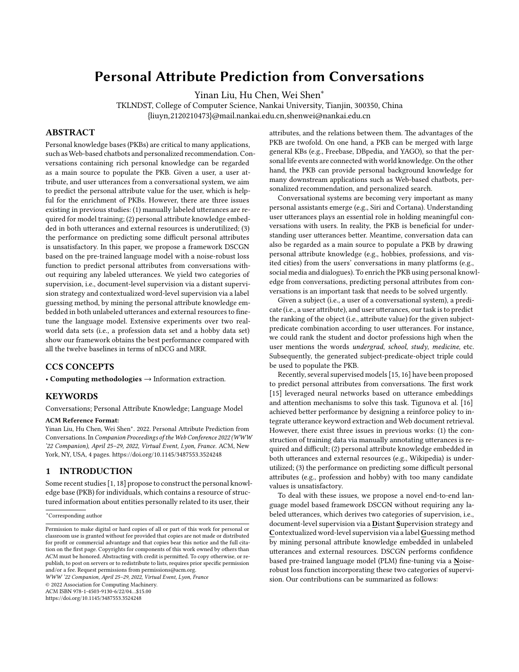# **Personal Attribute Prediction from Conversations**

Yinan Liu, Hu Chen, Wei Shen<sup>∗</sup>

TKLNDST, College of Computer Science, Nankai University, Tianjin, 300350, China {liuyn,2120210473}@mail.nankai.edu.cn,shenwei@nankai.edu.cn

# **ABSTRACT**

Personal knowledge bases (PKBs) are critical to many applications, such as Web-based chatbots and personalized recommendation. Conversations containing rich personal knowledge can be regarded as a main source to populate the PKB. Given a user, a user attribute, and user utterances from a conversational system, we aim to predict the personal attribute value for the user, which is helpful for the enrichment of PKBs. However, there are three issues existing in previous studies: (1) manually labeled utterances are required for model training; (2) personal attribute knowledge embedded in both utterances and external resources is underutilized; (3) the performance on predicting some difficult personal attributes is unsatisfactory. In this paper, we propose a framework DSCGN based on the pre-trained language model with a noise-robust loss function to predict personal attributes from conversations without requiring any labeled utterances. We yield two categories of supervision, i.e., document-level supervision via a distant supervision strategy and contextualized word-level supervision via a label guessing method, by mining the personal attribute knowledge embedded in both unlabeled utterances and external resources to finetune the language model. Extensive experiments over two realworld data sets (i.e., a profession data set and a hobby data set) show our framework obtains the best performance compared with all the twelve baselines in terms of nDCG and MRR.

#### **CCS CONCEPTS**

• **Computing methodologies** → Information extraction.

## **KEYWORDS**

Conversations; Personal Attribute Knowledge; Language Model

#### **ACM Reference Format:**

Yinan Liu, Hu Chen, Wei Shen<sup>∗</sup> . 2022. Personal Attribute Prediction from Conversations. In *Companion Proceedings of the Web Conference 2022 (WWW '22 Companion), April 25–29, 2022, Virtual Event, Lyon, France.* ACM, New York, NY, USA, [4](#page-3-0) pages. <https://doi.org/10.1145/3487553.3524248>

# **1 INTRODUCTION**

Some recent studies[[1](#page-3-1), [18\]](#page-3-2) propose to construct the personal knowledge base (PKB) for individuals, which contains a resource of structured information about entities personally related to its user, their

*WWW '22 Companion, April 25–29, 2022, Virtual Event, Lyon, France*

© 2022 Association for Computing Machinery.

ACM ISBN 978-1-4503-9130-6/22/04…\$15.00

<https://doi.org/10.1145/3487553.3524248>

attributes, and the relations between them. The advantages of the PKB are twofold. On one hand, a PKB can be merged with large general KBs (e.g., Freebase, DBpedia, and YAGO), so that the personal life events are connected with world knowledge. On the other hand, the PKB can provide personal background knowledge for many downstream applications such as Web-based chatbots, personalized recommendation, and personalized search.

Conversational systems are becoming very important as many personal assistants emerge (e.g., Siri and Cortana). Understanding user utterances plays an essential role in holding meaningful conversations with users. In reality, the PKB is beneficial for understanding user utterances better. Meantime, conversation data can also be regarded as a main source to populate a PKB by drawing personal attribute knowledge (e.g., hobbies, professions, and visited cities) from the users' conversations in many platforms (e.g., social media and dialogues). To enrich the PKB using personal knowledge from conversations, predicting personal attributes from conversations is an important task that needs to be solved urgently.

Given a subject (i.e., a user of a conversational system), a predicate (i.e., a user attribute), and user utterances, our task is to predict the ranking of the object (i.e., attribute value) for the given subjectpredicate combination according to user utterances. For instance, we could rank the student and doctor professions high when the user mentions the words *undergrad*, *school*, *study*, *medicine*, etc. Subsequently, the generated subject-predicate-object triple could be used to populate the PKB.

Recently, several supervised models[[15](#page-3-3), [16\]](#page-3-4) have been proposed to predict personal attributes from conversations. The first work [\[15](#page-3-3)] leveraged neural networks based on utterance embeddings and attention mechanisms to solve this task. Tigunova et al.[[16](#page-3-4)] achieved better performance by designing a reinforce policy to integrate utterance keyword extraction and Web document retrieval. However, there exist three issues in previous works: (1) the construction of training data via manually annotating utterances is required and difficult; (2) personal attribute knowledge embedded in both utterances and external resources (e.g., Wikipedia) is underutilized; (3) the performance on predicting some difficult personal attributes (e.g., profession and hobby) with too many candidate values is unsatisfactory.

To deal with these issues, we propose a novel end-to-end language model based framework DSCGN without requiring any labeled utterances, which derives two categories of supervision, i.e., document-level supervision via a **D**istant **S**upervision strategy and **C**ontextualized word-level supervision via a label **G**uessing method by mining personal attribute knowledge embedded in unlabeled utterances and external resources. DSCGN performs confidence based pre-trained language model (PLM) fine-tuning via a **N**oiserobust loss function incorporating these two categories of supervision. Our contributions can be summarized as follows:

<sup>∗</sup>Corresponding author

Permission to make digital or hard copies of all or part of this work for personal or classroom use is granted without fee provided that copies are not made or distributed for profit or commercial advantage and that copies bear this notice and the full citation on the first page. Copyrights for components of this work owned by others than ACM must be honored. Abstracting with credit is permitted. To copy otherwise, or republish, to post on servers or to redistribute to lists, requires prior specific permission and/or a fee. Request permissions from permissions@acm.org.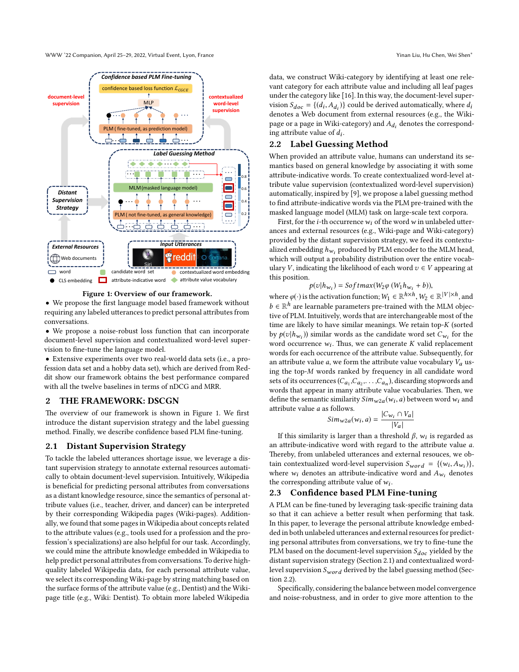WWW '22 Companion, April 25–29, 2022, Virtual Event, Lyon, France Yinan Liu, Hu Chen, Wei Shen∗

<span id="page-1-0"></span>

**Figure 1: Overview of our framework.**

• We propose the first language model based framework without requiring any labeled utterances to predict personal attributes from conversations.

• We propose a noise-robust loss function that can incorporate document-level supervision and contextualized word-level supervision to fine-tune the language model.

• Extensive experiments over two real-world data sets (i.e., a profession data set and a hobby data set), which are derived from Reddit show our framework obtains the best performance compared with all the twelve baselines in terms of nDCG and MRR.

# **2 THE FRAMEWORK: DSCGN**

The overview of our framework is shown in Figure [1](#page-1-0). We first introduce the distant supervision strategy and the label guessing method. Finally, we describe confidence based PLM fine-tuning.

#### <span id="page-1-1"></span>**2.1 Distant Supervision Strategy**

To tackle the labeled utterances shortage issue, we leverage a distant supervision strategy to annotate external resources automatically to obtain document-level supervision. Intuitively, Wikipedia is beneficial for predicting personal attributes from conversations as a distant knowledge resource, since the semantics of personal attribute values (i.e., teacher, driver, and dancer) can be interpreted by their corresponding Wikipedia pages (Wiki-pages). Additionally, we found that some pages in Wikipedia about concepts related to the attribute values (e.g., tools used for a profession and the profession's specializations) are also helpful for our task. Accordingly, we could mine the attribute knowledge embedded in Wikipedia to help predict personal attributes from conversations. To derive highquality labeled Wikipedia data, for each personal attribute value, we select its corresponding Wiki-page by string matching based on the surface forms of the attribute value (e.g., Dentist) and the Wikipage title (e.g., Wiki: Dentist). To obtain more labeled Wikipedia

data, we construct Wiki-category by identifying at least one relevant category for each attribute value and including all leaf pages under the category like [\[16\]](#page-3-4). In this way, the document-level supervision  $S_{doc} = \{(d_i, A_{d_i})\}$  could be derived automatically, where  $d_i$ denotes a Web document from external resources (e.g., the Wikipage or a page in Wiki-category) and  $A_{d_i}$  denotes the corresponding attribute value of *di* .

## <span id="page-1-2"></span>**2.2 Label Guessing Method**

When provided an attribute value, humans can understand its semantics based on general knowledge by associating it with some attribute-indicative words. To create contextualized word-level attribute value supervision (contextualized word-level supervision) automatically, inspired by[[9\]](#page-3-5), we propose a label guessing method to find attribute-indicative words via the PLM pre-trained with the masked language model (MLM) task on large-scale text corpora.

First, for the *i*-th occurrence*wi* of the word*w* in unlabeled utterances and external resources (e.g., Wiki-page and Wiki-category) provided by the distant supervision strategy, we feed its contextualized embedding  $h_{w_i}$  produced by PLM encoder to the MLM head, which will output a probability distribution over the entire vocabulary *V*, indicating the likelihood of each word  $v \in V$  appearing at this position.

$$
p(v|h_{w_i}) = \text{Softmax}(W_2\varphi(W_1h_{w_i} + b)),
$$

where  $\varphi(\cdot)$  is the activation function;  $W_1 \in \mathbb{R}^{h \times h}$ ,  $W_2 \in \mathbb{R}^{|V| \times h}$ , and *b* ∈  $\mathbb{R}^h$  are learnable parameters pre-trained with the MLM objective of PLM. Intuitively, words that are interchangeable most of the time are likely to have similar meanings. We retain top-*K* (sorted by  $p(v|h_{w_i})$ ) similar words as the candidate word set  $C_{w_i}$  for the word occurrence *wi* . Thus, we can generate *K* valid replacement words for each occurrence of the attribute value. Subsequently, for an attribute value  $a$ , we form the attribute value vocabulary  $V_a$  using the top-*M* words ranked by frequency in all candidate word sets of its occurrences  $(C_{a_1}, C_{a_2}, \ldots, C_{a_n})$ , discarding stopwords and words that appear in many attribute value vocabularies. Then, we define the semantic similarity  $Sim_{w2a}(w_i, a)$  between word  $w_i$  and attribute value *a* as follows.

$$
Sim_{w2a}(w_i, a) = \frac{|C_{w_i} \cap V_a|}{|V_a|}
$$

If this similarity is larger than a threshold *β*, *wi* is regarded as an attribute-indicative word with regard to the attribute value *a*. Thereby, from unlabeled utterances and external resouces, we obtain contextualized word-level supervision  $S_{word} = \{(w_i, A_{w_i})\},\$ where  $w_i$  denotes an attribute-indicative word and  $A_{w_i}$  denotes the corresponding attribute value of *wi* .

#### **2.3 Confidence based PLM Fine-tuning**

A PLM can be fine-tuned by leveraging task-specific training data so that it can achieve a better result when performing that task. In this paper, to leverage the personal attribute knowledge embedded in both unlabeled utterances and external resources for predicting personal attributes from conversations, we try to fine-tune the PLM based on the document-level supervision *Sdoc* yielded by the distant supervision strategy (Section [2.1\)](#page-1-1) and contextualized wordlevel supervision *Swor d* derived by the label guessing method (Section [2.2](#page-1-2)).

Specifically, considering the balance between model convergence and noise-robustness, and in order to give more attention to the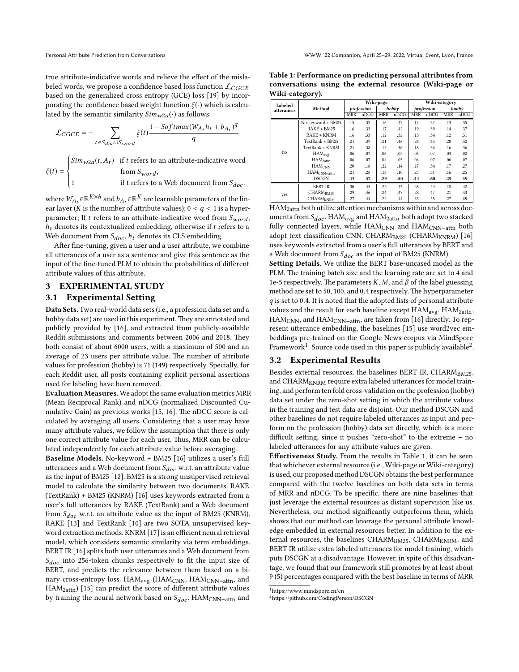true attribute-indicative words and relieve the effect of the mislabeled words, we propose a confidence based loss function L*CGCE* based on the generalized cross entropy (GCE) loss [\[19\]](#page-3-6) by incorporating the confidence based weight function *ξ*(·) which is calculated by the semantic similarity  $Sim_{w2a}(·)$  as follows:

$$
\mathcal{L}_{CGCE} = -\sum_{t \in S_{doc} \cup S_{word}} \xi(t) \frac{1 - Softmax(W_{A_t} h_t + b_{A_t})^q}{q}
$$

 $\xi(t) = \begin{cases}$  $\overline{\mathcal{L}}$  $Sim_{w2a}(t, A_t)$  if *t* refers to an attribute-indicative word from  $S_{word}$ , 1 if t refers to a Web document from *Sdoc* .

where  $W_{\!A_t} \! \in \! \mathbb{R}^{K \times h}$  and  $b_{A_t} \! \in \! \mathbb{R}^{K}$  are learnable parameters of the linear layer (*K* is the number of attribute values);  $0 < q < 1$  is a hyperparameter; If *t* refers to an attribute-indicative word from  $S_{word}$ ,  $h_t$  denotes its contextualized embedding, otherwise if  $t$  refers to a Web document from *Sdoc* , *h<sup>t</sup>* denotes its CLS embedding.

After fine-tuning, given a user and a user attribute, we combine all utterances of a user as a sentence and give this sentence as the input of the fine-tuned PLM to obtain the probabilities of different attribute values of this attribute.

### **3 EXPERIMENTAL STUDY**

#### **3.1 Experimental Setting**

**Data Sets.** Two real-world data sets (i.e., a profession data set and a hobby data set) are used in this experiment. They are annotated and publicly provided by[[16\]](#page-3-4), and extracted from publicly-available Reddit submissions and comments between 2006 and 2018. They both consist of about 6000 users, with a maximum of 500 and an average of 23 users per attribute value. The number of attribute values for profession (hobby) is 71 (149) respectively. Specially, for each Reddit user, all posts containing explicit personal assertions used for labeling have been removed.

**Evaluation Measures.** We adopt the same evaluation metrics MRR (Mean Reciprocal Rank) and nDCG (normalized Discounted Cumulative Gain) as previous works[[15](#page-3-3), [16\]](#page-3-4). The nDCG score is calculated by averaging all users. Considering that a user may have many attribute values, we follow the assumption that there is only one correct attribute value for each user. Thus, MRR can be calculated independently for each attribute value before averaging.

**Baseline Models.** No-keyword + BM25[[16](#page-3-4)] utilizes a user's full utterances and a Web document from *Sdoc* w.r.t. an attribute value as the input of BM25 [\[12\]](#page-3-7). BM25 is a strong unsupervised retrieval model to calculate the similarity between two documents. RAKE (TextRank) + BM25 (KNRM)[[16](#page-3-4)] uses keywords extracted from a user's full utterances by RAKE (TextRank) and a Web document from *Sdoc* w.r.t. an attribute value as the input of BM25 (KNRM). RAKE [\[13\]](#page-3-8) and TextRank [\[10\]](#page-3-9) are two SOTA unsupervised keyword extraction methods. KNRM[[17](#page-3-10)] is an efficient neural retrieval model, which considers semantic similarity via term embeddings. BERT IR [\[16\]](#page-3-4) splits both user utterances and a Web document from *Sdoc* into 256-token chunks respectively to fit the input size of BERT, and predicts the relevance between them based on a binary cross-entropy loss. HAM<sub>avg</sub> (HAM<sub>CNN</sub>, HAM<sub>CNN−attn</sub>, and HAM2attn) [\[15\]](#page-3-3) can predict the score of different attribute values by training the neural network based on *Sdoc* . HAMCNN−attn and

<span id="page-2-2"></span>

| Table 1: Performance on predicting personal attributes from |  |  |  |
|-------------------------------------------------------------|--|--|--|
| conversations using the external resource (Wiki-page or     |  |  |  |
| Wiki-category).                                             |  |  |  |

| Labeled    |                             | Wiki-page  |      |            | Wiki-category |            |      |            |      |
|------------|-----------------------------|------------|------|------------|---------------|------------|------|------------|------|
| utterances | Method                      | profession |      | hobby      |               | profession |      | hobby      |      |
|            |                             | <b>MRR</b> | nDCG | <b>MRR</b> | nDCG          | <b>MRR</b> | nDCG | <b>MRR</b> | nDCG |
| no         | No-keyword + BM25           | .15        | .32  | .16        | .42           | .17        | .37  | .13        | .35  |
|            | $RAKE + BM25$               | .16        | .33  | .17        | .42           | .19        | .39  | .14        | .37  |
|            | RAKE + KNRM                 | .16        | .33  | $.12\,$    | .32           | .13        | .34  | .12        | .31  |
|            | TextRank + BM25             | .21        | .39  | .21        | .46           | .26        | .45  | .20        | .42  |
|            | TextRank + KNRM             | .21        | .38  | .15        | .36           | .18        | .36  | .16        | .36  |
|            | HAM <sub>avg</sub>          | .06        | .07  | .06        | .05           | .06        | .07  | .03        | .02  |
|            | HAM <sub>2attn</sub>        | .06        | .07  | .04        | .05           | .06        | .07  | .06        | .07  |
|            | <b>HAMCNN</b>               | .20        | .18  | .22        | .14           | .27        | .34  | .17        | .27  |
|            | HAM <sub>CNN-attn</sub>     | .21        | .28  | .13        | .10           | .25        | .31  | .16        | .25  |
|            | <b>DSCGN</b>                | .43        | .57  | .29        | .50           | .44        | .60  | .29        | .49  |
| yes        | <b>BERT IR</b>              | .30        | .45  | .22        | .43           | .28        | .44  | .18        | .42  |
|            | CHARM <sub>BM25</sub>       | .29        | .46  | .24        | .47           | .28        | .47  | .21        | .43  |
|            | <b>CHARM<sub>KNRM</sub></b> | .27        | .44  | .22        | .44           | .35        | .55  | .27        | .49  |

HAM2attn both utilize attention mechanisms within and across documents from *Sdoc* . HAMavg and HAM2attn both adopt two stacked fully connected layers, while HAM<sub>CNN</sub> and HAM<sub>CNN-attn</sub> both adopttext classification CNN. CHARMBM25 (CHARMKNRM) [[16](#page-3-4)] uses keywords extracted from a user's full utterances by BERT and a Web document from *Sdoc* as the input of BM25 (KNRM).

**Setting Details.** We utilize the BERT base-uncased model as the PLM. The training batch size and the learning rate are set to 4 and 1e-5 respectively. The parameters *K*, *M*, and *β* of the label guessing method are set to 50, 100, and 0.4 respectively. The hyperparameter *q* is set to 0.4. It is noted that the adopted lists of personal attribute values and the result for each baseline except  $HAM_{avg}$ ,  $HAM_{2attn}$ , HAM<sub>CNN</sub>, and HAM<sub>CNN−attn</sub>, are taken from [\[16\]](#page-3-4) directly. To represent utterance embedding, the baselines[[15\]](#page-3-3) use word2vec embeddings pre-trained on the Google News corpus via MindSpore Framework<sup>[1](#page-2-0)</sup>. Source code used in this paper is publicly available<sup>[2](#page-2-1)</sup>.

#### **3.2 Experimental Results**

Besides external resources, the baselines BERT IR, CHARMBM25, and CHARM $_{\rm KNRM}$  require extra labeled utterances for model training, and perform ten fold cross-validation on the profession (hobby) data set under the zero-shot setting in which the attribute values in the training and test data are disjoint. Our method DSCGN and other baselines do not require labeled utterances as input and perform on the profession (hobby) data set directly, which is a more difficult setting, since it pushes "zero-shot" to the extreme – no labeled utterances for any attribute values are given.

**Effectiveness Study.** From the results in Table [1,](#page-2-2) it can be seen that whichever external resource (i.e., Wiki-page or Wiki-category) is used, our proposed method DSCGN obtains the best performance compared with the twelve baselines on both data sets in terms of MRR and nDCG. To be specific, there are nine baselines that just leverage the external resources as distant supervision like us. Nevertheless, our method significantly outperforms them, which shows that our method can leverage the personal attribute knowledge embedded in external resources better. In addition to the external resources, the baselines CHARM<sub>RM25</sub>, CHARM<sub>KNRM</sub>, and BERT IR utilize extra labeled utterances for model training, which puts DSCGN at a disadvantage. However, in spite of this disadvantage, we found that our framework still promotes by at least about 9 (5) percentages compared with the best baseline in terms of MRR

<span id="page-2-0"></span> $^1\rm{https://www.mindspore.cn/en}$ 

<span id="page-2-1"></span><sup>2</sup>https://github.com/CodingPerson/DSCGN